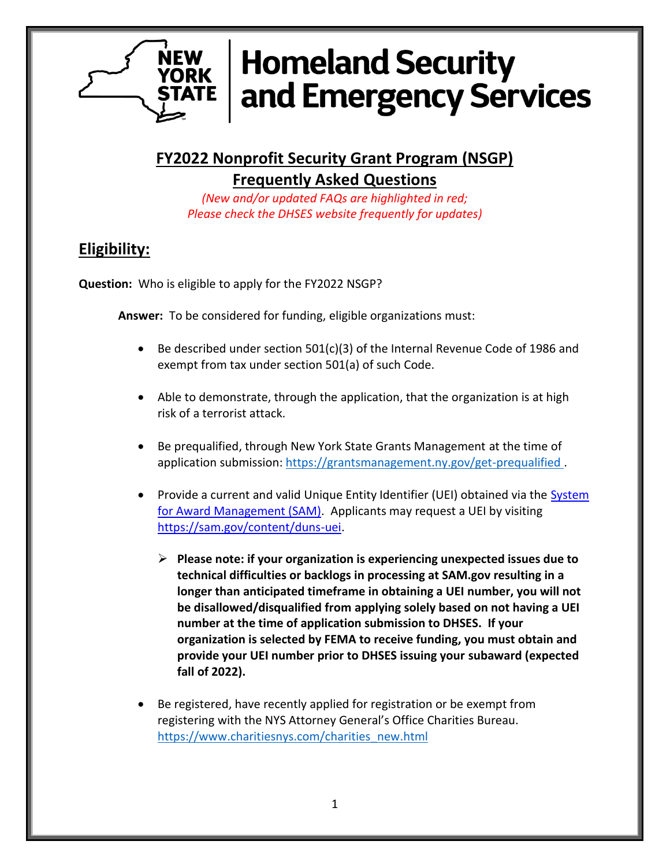

**FY2022 Nonprofit Security Grant Program (NSGP) Frequently Asked Questions**

*(New and/or updated FAQs are highlighted in red; Please check the DHSES website frequently for updates)*

## **Eligibility:**

**Question:** Who is eligible to apply for the FY2022 NSGP?

**Answer:** To be considered for funding, eligible organizations must:

- Be described under section 501(c)(3) of the Internal Revenue Code of 1986 and exempt from tax under section 501(a) of such Code.
- Able to demonstrate, through the application, that the organization is at high risk of a terrorist attack.
- Be prequalified, through New York State Grants Management at the time of application submission:<https://grantsmanagement.ny.gov/get-prequalified>.
- Provide a current and valid Unique Entity Identifier (UEI) obtained via the System [for Award Management \(SAM\).](https://sam.gov/content/home) Applicants may request a UEI by visiting [https://sam.gov/content/duns-uei.](https://sam.gov/content/duns-uei)
	- ➢ **Please note: if your organization is experiencing unexpected issues due to technical difficulties or backlogs in processing at SAM.gov resulting in a longer than anticipated timeframe in obtaining a UEI number, you will not be disallowed/disqualified from applying solely based on not having a UEI number at the time of application submission to DHSES. If your organization is selected by FEMA to receive funding, you must obtain and provide your UEI number prior to DHSES issuing your subaward (expected fall of 2022).**
- Be registered, have recently applied for registration or be exempt from registering with the NYS Attorney General's Office Charities Bureau. [https://www.charitiesnys.com/charities\\_new.html](https://www.charitiesnys.com/charities_new.html)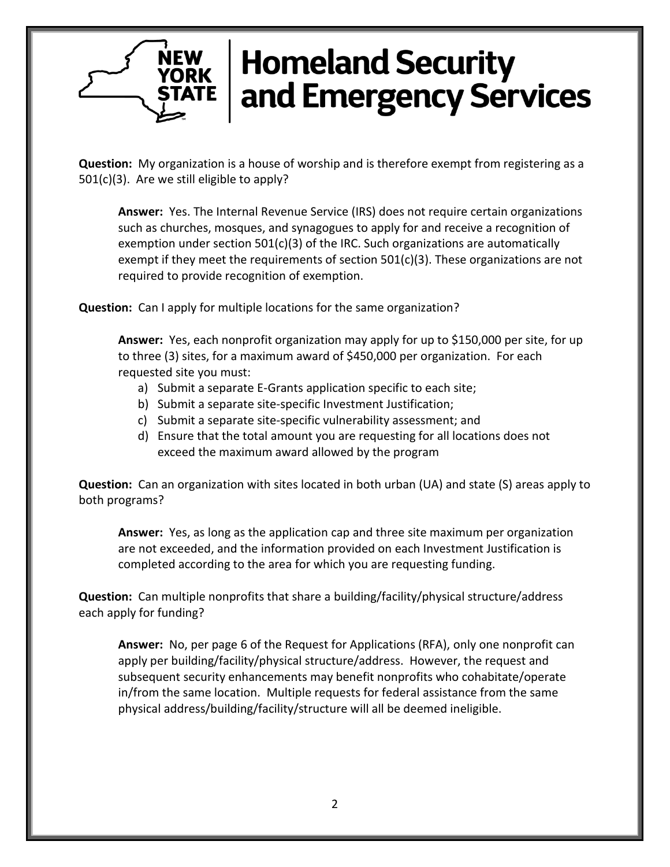**Question:** My organization is a house of worship and is therefore exempt from registering as a 501(c)(3). Are we still eligible to apply?

**Answer:** Yes. The Internal Revenue Service (IRS) does not require certain organizations such as churches, mosques, and synagogues to apply for and receive a recognition of exemption under section 501(c)(3) of the IRC. Such organizations are automatically exempt if they meet the requirements of section 501(c)(3). These organizations are not required to provide recognition of exemption.

**Question:** Can I apply for multiple locations for the same organization?

**NEW YORK** 

**Answer:** Yes, each nonprofit organization may apply for up to \$150,000 per site, for up to three (3) sites, for a maximum award of \$450,000 per organization. For each requested site you must:

- a) Submit a separate E-Grants application specific to each site;
- b) Submit a separate site-specific Investment Justification;
- c) Submit a separate site-specific vulnerability assessment; and
- d) Ensure that the total amount you are requesting for all locations does not exceed the maximum award allowed by the program

**Question:** Can an organization with sites located in both urban (UA) and state (S) areas apply to both programs?

**Answer:** Yes, as long as the application cap and three site maximum per organization are not exceeded, and the information provided on each Investment Justification is completed according to the area for which you are requesting funding.

**Question:** Can multiple nonprofits that share a building/facility/physical structure/address each apply for funding?

**Answer:** No, per page 6 of the Request for Applications (RFA), only one nonprofit can apply per building/facility/physical structure/address. However, the request and subsequent security enhancements may benefit nonprofits who cohabitate/operate in/from the same location. Multiple requests for federal assistance from the same physical address/building/facility/structure will all be deemed ineligible.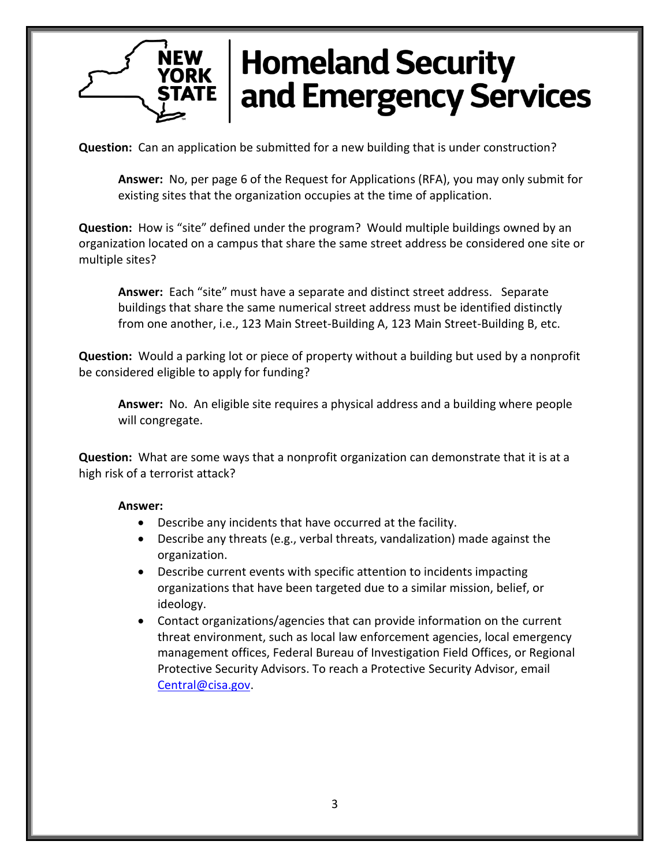**Question:** Can an application be submitted for a new building that is under construction?

**Answer:** No, per page 6 of the Request for Applications (RFA), you may only submit for existing sites that the organization occupies at the time of application.

**Question:** How is "site" defined under the program? Would multiple buildings owned by an organization located on a campus that share the same street address be considered one site or multiple sites?

**Answer:** Each "site" must have a separate and distinct street address. Separate buildings that share the same numerical street address must be identified distinctly from one another, i.e., 123 Main Street-Building A, 123 Main Street-Building B, etc.

**Question:** Would a parking lot or piece of property without a building but used by a nonprofit be considered eligible to apply for funding?

**Answer:** No. An eligible site requires a physical address and a building where people will congregate.

**Question:** What are some ways that a nonprofit organization can demonstrate that it is at a high risk of a terrorist attack?

#### **Answer:**

- Describe any incidents that have occurred at the facility.
- Describe any threats (e.g., verbal threats, vandalization) made against the organization.
- Describe current events with specific attention to incidents impacting organizations that have been targeted due to a similar mission, belief, or ideology.
- Contact organizations/agencies that can provide information on the current threat environment, such as local law enforcement agencies, local emergency management offices, Federal Bureau of Investigation Field Offices, or Regional Protective Security Advisors. To reach a Protective Security Advisor, email [Central@cisa.gov.](mailto:Central@cisa.gov)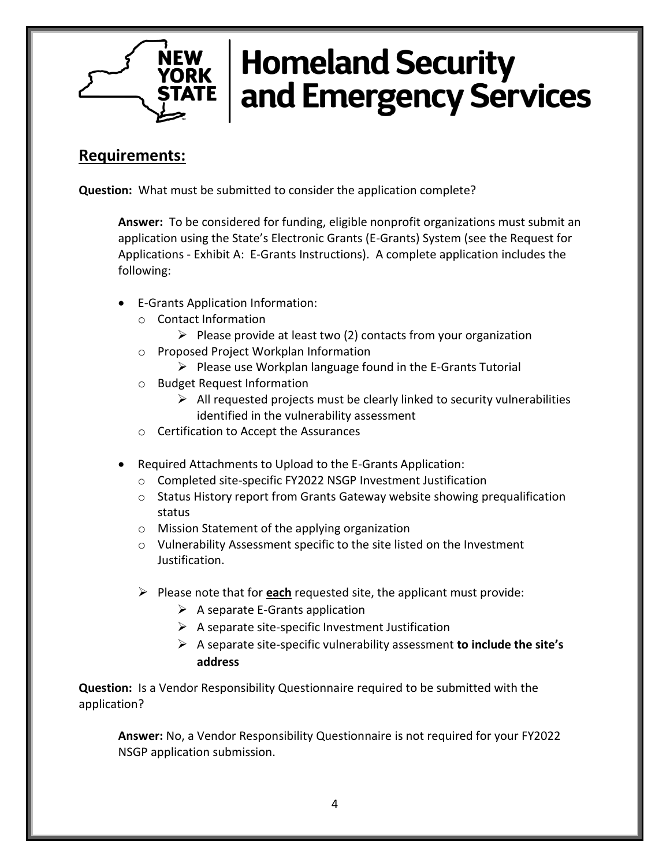

### **Requirements:**

**Question:** What must be submitted to consider the application complete?

**Answer:** To be considered for funding, eligible nonprofit organizations must submit an application using the State's Electronic Grants (E-Grants) System (see the Request for Applications - Exhibit A: E-Grants Instructions). A complete application includes the following:

- E-Grants Application Information:
	- o Contact Information
		- $\triangleright$  Please provide at least two (2) contacts from your organization
	- o Proposed Project Workplan Information
		- $\triangleright$  Please use Workplan language found in the E-Grants Tutorial
	- o Budget Request Information
		- $\triangleright$  All requested projects must be clearly linked to security vulnerabilities identified in the vulnerability assessment
	- o Certification to Accept the Assurances
- Required Attachments to Upload to the E-Grants Application:
	- o Completed site-specific FY2022 NSGP Investment Justification
	- $\circ$  Status History report from Grants Gateway website showing prequalification status
	- o Mission Statement of the applying organization
	- $\circ$  Vulnerability Assessment specific to the site listed on the Investment Justification.
	- ➢ Please note that for **each** requested site, the applicant must provide:
		- $\triangleright$  A separate E-Grants application
		- $\triangleright$  A separate site-specific Investment Justification
		- ➢ A separate site-specific vulnerability assessment **to include the site's address**

**Question:** Is a Vendor Responsibility Questionnaire required to be submitted with the application?

**Answer:** No, a Vendor Responsibility Questionnaire is not required for your FY2022 NSGP application submission.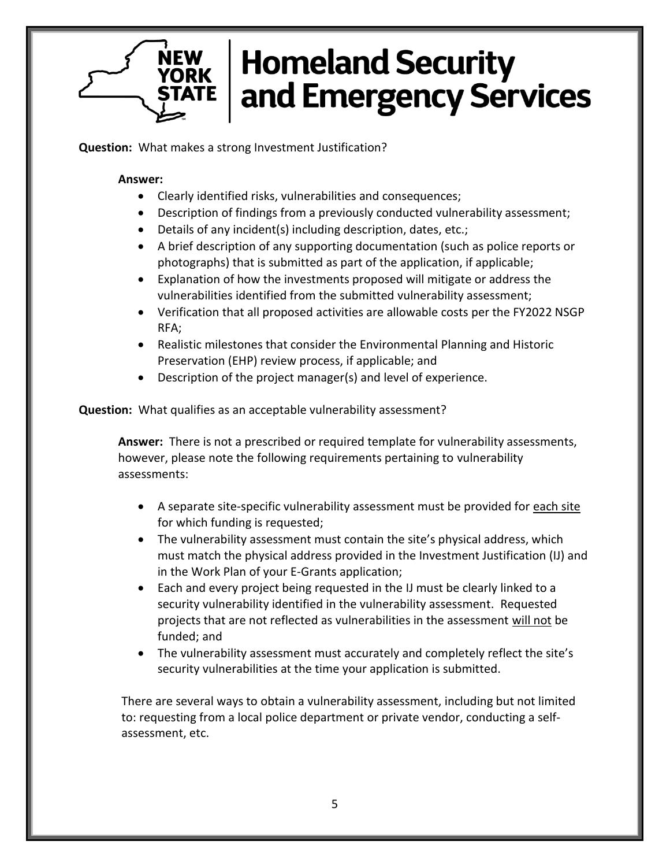**Question:** What makes a strong Investment Justification?

#### **Answer:**

**NEW YORK** 

- Clearly identified risks, vulnerabilities and consequences;
- Description of findings from a previously conducted vulnerability assessment;
- Details of any incident(s) including description, dates, etc.;
- A brief description of any supporting documentation (such as police reports or photographs) that is submitted as part of the application, if applicable;
- Explanation of how the investments proposed will mitigate or address the vulnerabilities identified from the submitted vulnerability assessment;
- Verification that all proposed activities are allowable costs per the FY2022 NSGP RFA;
- Realistic milestones that consider the Environmental Planning and Historic Preservation (EHP) review process, if applicable; and
- Description of the project manager(s) and level of experience.

**Question:** What qualifies as an acceptable vulnerability assessment?

**Answer:** There is not a prescribed or required template for vulnerability assessments, however, please note the following requirements pertaining to vulnerability assessments:

- A separate site-specific vulnerability assessment must be provided for each site for which funding is requested;
- The vulnerability assessment must contain the site's physical address, which must match the physical address provided in the Investment Justification (IJ) and in the Work Plan of your E-Grants application;
- Each and every project being requested in the IJ must be clearly linked to a security vulnerability identified in the vulnerability assessment. Requested projects that are not reflected as vulnerabilities in the assessment will not be funded; and
- The vulnerability assessment must accurately and completely reflect the site's security vulnerabilities at the time your application is submitted.

There are several ways to obtain a vulnerability assessment, including but not limited to: requesting from a local police department or private vendor, conducting a selfassessment, etc.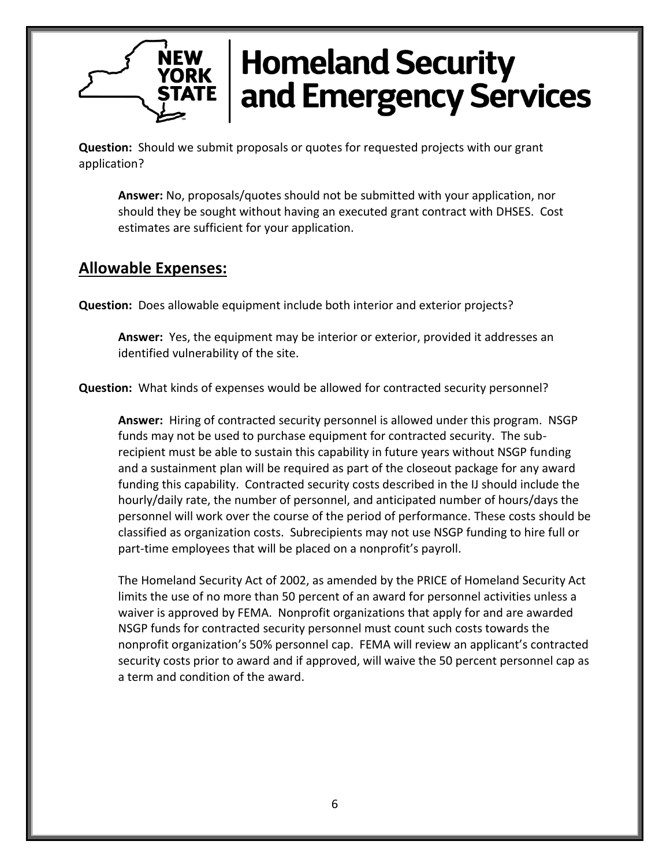**Question:** Should we submit proposals or quotes for requested projects with our grant application?

**Answer:** No, proposals/quotes should not be submitted with your application, nor should they be sought without having an executed grant contract with DHSES. Cost estimates are sufficient for your application.

### **Allowable Expenses:**

**Question:** Does allowable equipment include both interior and exterior projects?

**Answer:** Yes, the equipment may be interior or exterior, provided it addresses an identified vulnerability of the site.

**Question:** What kinds of expenses would be allowed for contracted security personnel?

**Answer:** Hiring of contracted security personnel is allowed under this program. NSGP funds may not be used to purchase equipment for contracted security. The subrecipient must be able to sustain this capability in future years without NSGP funding and a sustainment plan will be required as part of the closeout package for any award funding this capability. Contracted security costs described in the IJ should include the hourly/daily rate, the number of personnel, and anticipated number of hours/days the personnel will work over the course of the period of performance. These costs should be classified as organization costs. Subrecipients may not use NSGP funding to hire full or part-time employees that will be placed on a nonprofit's payroll.

The Homeland Security Act of 2002, as amended by the PRICE of Homeland Security Act limits the use of no more than 50 percent of an award for personnel activities unless a waiver is approved by FEMA. Nonprofit organizations that apply for and are awarded NSGP funds for contracted security personnel must count such costs towards the nonprofit organization's 50% personnel cap. FEMA will review an applicant's contracted security costs prior to award and if approved, will waive the 50 percent personnel cap as a term and condition of the award.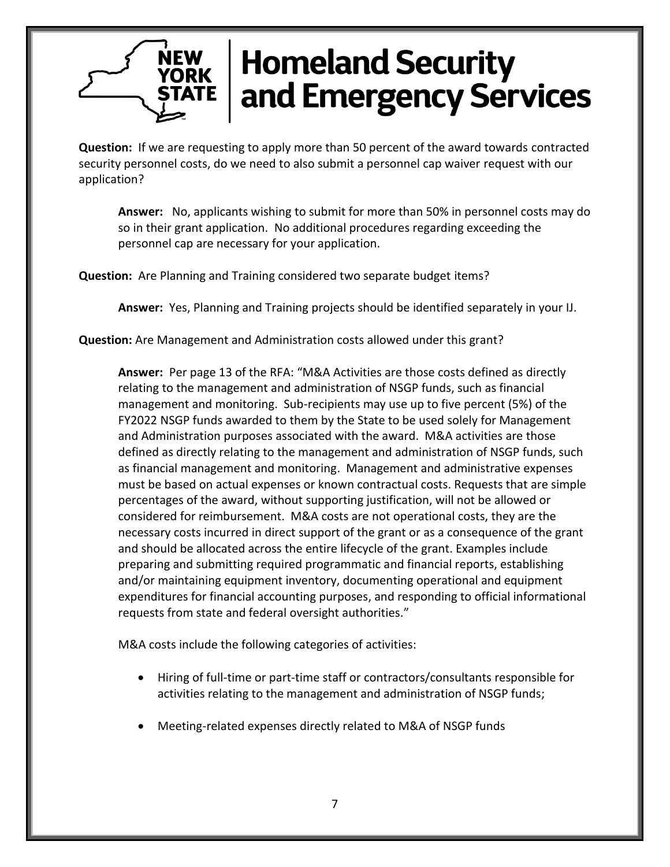**Question:** If we are requesting to apply more than 50 percent of the award towards contracted security personnel costs, do we need to also submit a personnel cap waiver request with our application?

**Answer:** No, applicants wishing to submit for more than 50% in personnel costs may do so in their grant application. No additional procedures regarding exceeding the personnel cap are necessary for your application.

**Question:** Are Planning and Training considered two separate budget items?

**Answer:** Yes, Planning and Training projects should be identified separately in your IJ.

**Question:** Are Management and Administration costs allowed under this grant?

**Answer:** Per page 13 of the RFA: "M&A Activities are those costs defined as directly relating to the management and administration of NSGP funds, such as financial management and monitoring. Sub-recipients may use up to five percent (5%) of the FY2022 NSGP funds awarded to them by the State to be used solely for Management and Administration purposes associated with the award. M&A activities are those defined as directly relating to the management and administration of NSGP funds, such as financial management and monitoring. Management and administrative expenses must be based on actual expenses or known contractual costs. Requests that are simple percentages of the award, without supporting justification, will not be allowed or considered for reimbursement. M&A costs are not operational costs, they are the necessary costs incurred in direct support of the grant or as a consequence of the grant and should be allocated across the entire lifecycle of the grant. Examples include preparing and submitting required programmatic and financial reports, establishing and/or maintaining equipment inventory, documenting operational and equipment expenditures for financial accounting purposes, and responding to official informational requests from state and federal oversight authorities."

M&A costs include the following categories of activities:

- Hiring of full-time or part-time staff or contractors/consultants responsible for activities relating to the management and administration of NSGP funds;
- Meeting-related expenses directly related to M&A of NSGP funds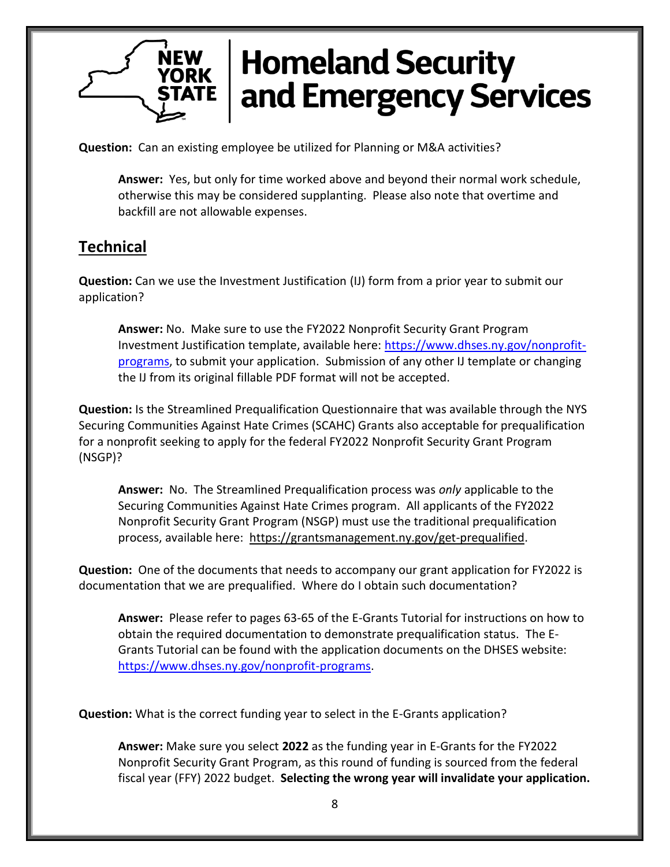**Question:** Can an existing employee be utilized for Planning or M&A activities?

**Answer:** Yes, but only for time worked above and beyond their normal work schedule, otherwise this may be considered supplanting. Please also note that overtime and backfill are not allowable expenses.

## **Technical**

**Question:** Can we use the Investment Justification (IJ) form from a prior year to submit our application?

**Answer:** No. Make sure to use the FY2022 Nonprofit Security Grant Program Investment Justification template, available here: [https://www.dhses.ny.gov/nonprofit](https://www.dhses.ny.gov/nonprofit-programs)[programs,](https://www.dhses.ny.gov/nonprofit-programs) to submit your application. Submission of any other IJ template or changing the IJ from its original fillable PDF format will not be accepted.

**Question:** Is the Streamlined Prequalification Questionnaire that was available through the NYS Securing Communities Against Hate Crimes (SCAHC) Grants also acceptable for prequalification for a nonprofit seeking to apply for the federal FY2022 Nonprofit Security Grant Program (NSGP)?

**Answer:** No. The Streamlined Prequalification process was *only* applicable to the Securing Communities Against Hate Crimes program. All applicants of the FY2022 Nonprofit Security Grant Program (NSGP) must use the traditional prequalification process, available here: [https://grantsmanagement.ny.gov/get-prequalified.](https://grantsmanagement.ny.gov/get-prequalified)

**Question:** One of the documents that needs to accompany our grant application for FY2022 is documentation that we are prequalified. Where do I obtain such documentation?

**Answer:** Please refer to pages 63-65 of the E-Grants Tutorial for instructions on how to obtain the required documentation to demonstrate prequalification status. The E-Grants Tutorial can be found with the application documents on the DHSES website: [https://www.dhses.ny.gov/nonprofit-programs.](https://www.dhses.ny.gov/nonprofit-programs)

**Question:** What is the correct funding year to select in the E-Grants application?

**Answer:** Make sure you select **2022** as the funding year in E-Grants for the FY2022 Nonprofit Security Grant Program, as this round of funding is sourced from the federal fiscal year (FFY) 2022 budget. **Selecting the wrong year will invalidate your application.**